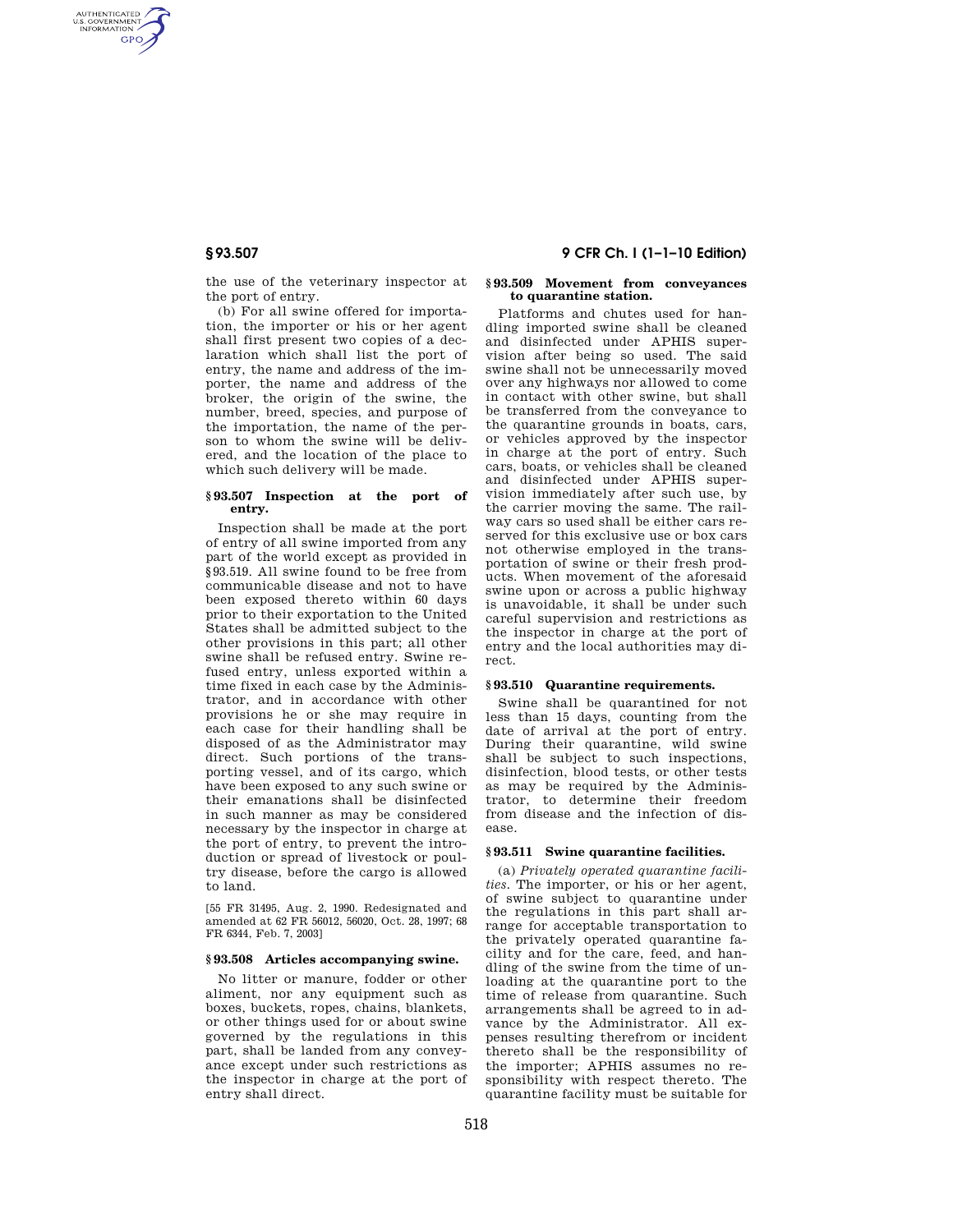AUTHENTICATED<br>U.S. GOVERNMENT<br>INFORMATION **GPO** 

> the use of the veterinary inspector at the port of entry.

(b) For all swine offered for importation, the importer or his or her agent shall first present two copies of a declaration which shall list the port of entry, the name and address of the importer, the name and address of the broker, the origin of the swine, the number, breed, species, and purpose of the importation, the name of the person to whom the swine will be delivered, and the location of the place to which such delivery will be made.

## **§ 93.507 Inspection at the port of entry.**

Inspection shall be made at the port of entry of all swine imported from any part of the world except as provided in §93.519. All swine found to be free from communicable disease and not to have been exposed thereto within 60 days prior to their exportation to the United States shall be admitted subject to the other provisions in this part; all other swine shall be refused entry. Swine refused entry, unless exported within a time fixed in each case by the Administrator, and in accordance with other provisions he or she may require in each case for their handling shall be disposed of as the Administrator may direct. Such portions of the transporting vessel, and of its cargo, which have been exposed to any such swine or their emanations shall be disinfected in such manner as may be considered necessary by the inspector in charge at the port of entry, to prevent the introduction or spread of livestock or poultry disease, before the cargo is allowed to land.

[55 FR 31495, Aug. 2, 1990. Redesignated and amended at 62 FR 56012, 56020, Oct. 28, 1997; 68 FR 6344, Feb. 7, 2003]

#### **§ 93.508 Articles accompanying swine.**

No litter or manure, fodder or other aliment, nor any equipment such as boxes, buckets, ropes, chains, blankets, or other things used for or about swine governed by the regulations in this part, shall be landed from any conveyance except under such restrictions as the inspector in charge at the port of entry shall direct.

# **§ 93.507 9 CFR Ch. I (1–1–10 Edition)**

#### **§ 93.509 Movement from conveyances to quarantine station.**

Platforms and chutes used for handling imported swine shall be cleaned and disinfected under APHIS supervision after being so used. The said swine shall not be unnecessarily moved over any highways nor allowed to come in contact with other swine, but shall be transferred from the conveyance to the quarantine grounds in boats, cars, or vehicles approved by the inspector in charge at the port of entry. Such cars, boats, or vehicles shall be cleaned and disinfected under APHIS supervision immediately after such use, by the carrier moving the same. The railway cars so used shall be either cars reserved for this exclusive use or box cars not otherwise employed in the transportation of swine or their fresh products. When movement of the aforesaid swine upon or across a public highway is unavoidable, it shall be under such careful supervision and restrictions as the inspector in charge at the port of entry and the local authorities may direct.

## **§ 93.510 Quarantine requirements.**

Swine shall be quarantined for not less than 15 days, counting from the date of arrival at the port of entry. During their quarantine, wild swine shall be subject to such inspections, disinfection, blood tests, or other tests as may be required by the Administrator, to determine their freedom from disease and the infection of disease.

# **§ 93.511 Swine quarantine facilities.**

(a) *Privately operated quarantine facilities.* The importer, or his or her agent, of swine subject to quarantine under the regulations in this part shall arrange for acceptable transportation to the privately operated quarantine facility and for the care, feed, and handling of the swine from the time of unloading at the quarantine port to the time of release from quarantine. Such arrangements shall be agreed to in advance by the Administrator. All expenses resulting therefrom or incident thereto shall be the responsibility of the importer; APHIS assumes no responsibility with respect thereto. The quarantine facility must be suitable for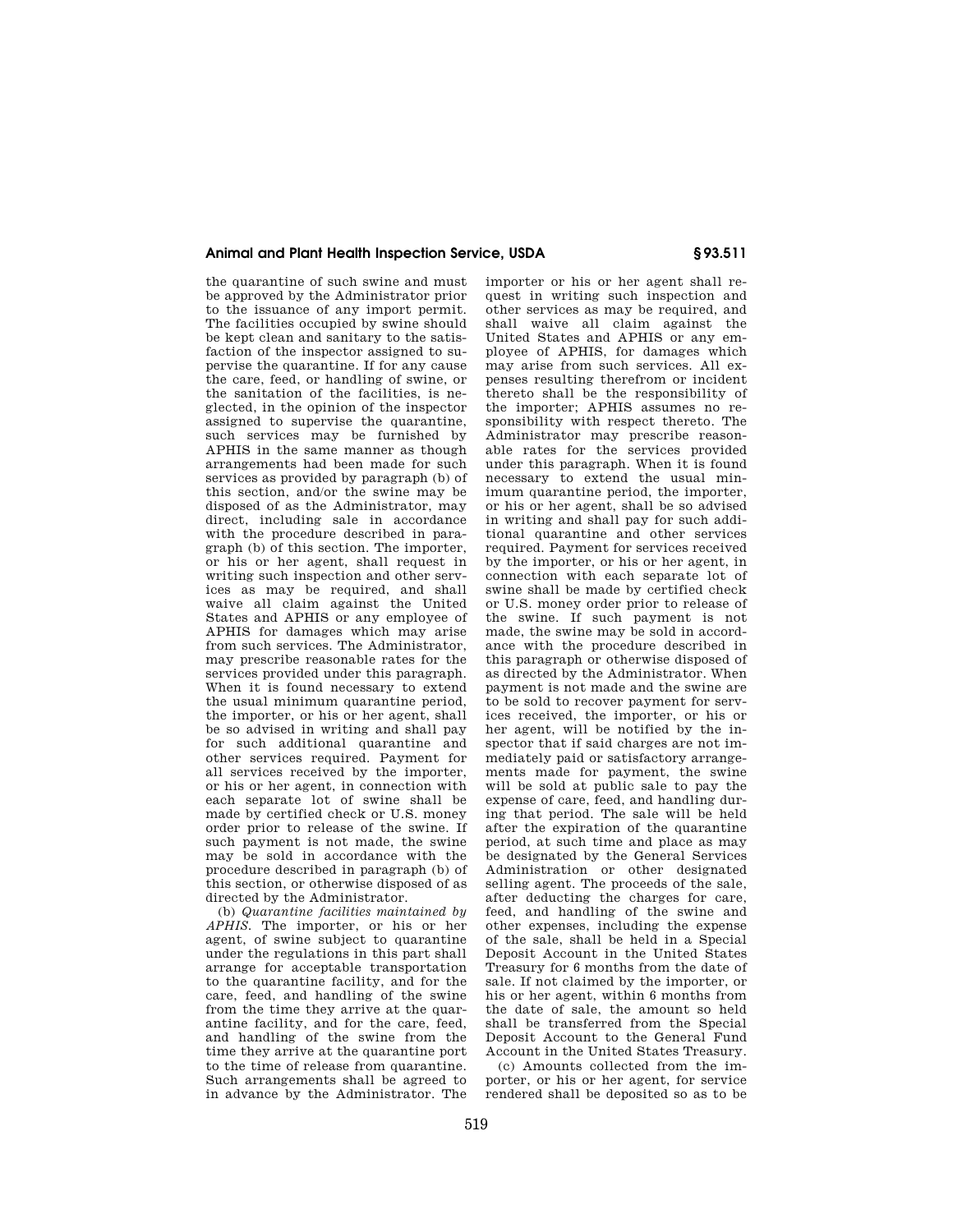# **Animal and Plant Health Inspection Service, USDA § 93.511**

the quarantine of such swine and must be approved by the Administrator prior to the issuance of any import permit. The facilities occupied by swine should be kept clean and sanitary to the satisfaction of the inspector assigned to supervise the quarantine. If for any cause the care, feed, or handling of swine, or the sanitation of the facilities, is neglected, in the opinion of the inspector assigned to supervise the quarantine, such services may be furnished by APHIS in the same manner as though arrangements had been made for such services as provided by paragraph (b) of this section, and/or the swine may be disposed of as the Administrator, may direct, including sale in accordance with the procedure described in paragraph (b) of this section. The importer or his or her agent, shall request in writing such inspection and other services as may be required, and shall waive all claim against the United States and APHIS or any employee of APHIS for damages which may arise from such services. The Administrator, may prescribe reasonable rates for the services provided under this paragraph. When it is found necessary to extend the usual minimum quarantine period, the importer, or his or her agent, shall be so advised in writing and shall pay for such additional quarantine and other services required. Payment for all services received by the importer, or his or her agent, in connection with each separate lot of swine shall be made by certified check or U.S. money order prior to release of the swine. If such payment is not made, the swine may be sold in accordance with the procedure described in paragraph (b) of this section, or otherwise disposed of as

directed by the Administrator. (b) *Quarantine facilities maintained by APHIS.* The importer, or his or her agent, of swine subject to quarantine under the regulations in this part shall arrange for acceptable transportation to the quarantine facility, and for the care, feed, and handling of the swine from the time they arrive at the quarantine facility, and for the care, feed, and handling of the swine from the time they arrive at the quarantine port to the time of release from quarantine. Such arrangements shall be agreed to in advance by the Administrator. The importer or his or her agent shall request in writing such inspection and other services as may be required, and shall waive all claim against the United States and APHIS or any employee of APHIS, for damages which may arise from such services. All expenses resulting therefrom or incident thereto shall be the responsibility of the importer; APHIS assumes no responsibility with respect thereto. The Administrator may prescribe reasonable rates for the services provided under this paragraph. When it is found necessary to extend the usual minimum quarantine period, the importer, or his or her agent, shall be so advised in writing and shall pay for such additional quarantine and other services required. Payment for services received by the importer, or his or her agent, in connection with each separate lot of swine shall be made by certified check or U.S. money order prior to release of the swine. If such payment is not made, the swine may be sold in accordance with the procedure described in this paragraph or otherwise disposed of as directed by the Administrator. When payment is not made and the swine are to be sold to recover payment for services received, the importer, or his or her agent, will be notified by the inspector that if said charges are not immediately paid or satisfactory arrangements made for payment, the swine will be sold at public sale to pay the expense of care, feed, and handling during that period. The sale will be held after the expiration of the quarantine period, at such time and place as may be designated by the General Services Administration or other designated selling agent. The proceeds of the sale, after deducting the charges for care, feed, and handling of the swine and other expenses, including the expense of the sale, shall be held in a Special Deposit Account in the United States Treasury for 6 months from the date of sale. If not claimed by the importer, or his or her agent, within 6 months from the date of sale, the amount so held shall be transferred from the Special Deposit Account to the General Fund Account in the United States Treasury.

(c) Amounts collected from the importer, or his or her agent, for service rendered shall be deposited so as to be